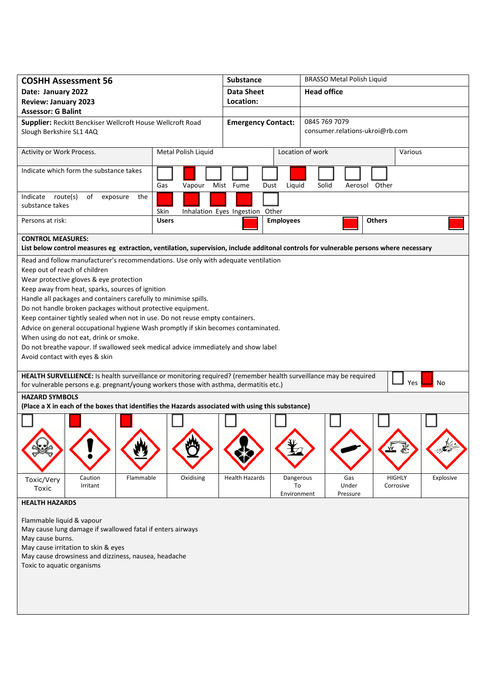| <b>COSHH Assessment 56</b>                                                                                                                                                                                                                                                                                                                                                                                                                                                                                                                                                                                                                                                                                                                                                                                                                                                                                                                                                                                                                               | <b>Substance</b>    |                                 | <b>BRASSO Metal Polish Liquid</b> |                                                  |                          |               |                            |           |  |  |  |
|----------------------------------------------------------------------------------------------------------------------------------------------------------------------------------------------------------------------------------------------------------------------------------------------------------------------------------------------------------------------------------------------------------------------------------------------------------------------------------------------------------------------------------------------------------------------------------------------------------------------------------------------------------------------------------------------------------------------------------------------------------------------------------------------------------------------------------------------------------------------------------------------------------------------------------------------------------------------------------------------------------------------------------------------------------|---------------------|---------------------------------|-----------------------------------|--------------------------------------------------|--------------------------|---------------|----------------------------|-----------|--|--|--|
| Date: January 2022                                                                                                                                                                                                                                                                                                                                                                                                                                                                                                                                                                                                                                                                                                                                                                                                                                                                                                                                                                                                                                       |                     | <b>Data Sheet</b>               |                                   | <b>Head office</b>                               |                          |               |                            |           |  |  |  |
| <b>Review: January 2023</b>                                                                                                                                                                                                                                                                                                                                                                                                                                                                                                                                                                                                                                                                                                                                                                                                                                                                                                                                                                                                                              |                     | Location:                       |                                   |                                                  |                          |               |                            |           |  |  |  |
| <b>Assessor: G Balint</b>                                                                                                                                                                                                                                                                                                                                                                                                                                                                                                                                                                                                                                                                                                                                                                                                                                                                                                                                                                                                                                |                     |                                 |                                   |                                                  |                          |               |                            |           |  |  |  |
| Supplier: Reckitt Benckiser Wellcroft House Wellcroft Road<br>Slough Berkshire SL1 4AQ                                                                                                                                                                                                                                                                                                                                                                                                                                                                                                                                                                                                                                                                                                                                                                                                                                                                                                                                                                   |                     | <b>Emergency Contact:</b>       |                                   | 0845 769 7079<br>consumer.relations-ukroi@rb.com |                          |               |                            |           |  |  |  |
| Activity or Work Process.                                                                                                                                                                                                                                                                                                                                                                                                                                                                                                                                                                                                                                                                                                                                                                                                                                                                                                                                                                                                                                | Metal Polish Liquid |                                 |                                   | Location of work                                 |                          |               | Various                    |           |  |  |  |
| Indicate which form the substance takes                                                                                                                                                                                                                                                                                                                                                                                                                                                                                                                                                                                                                                                                                                                                                                                                                                                                                                                                                                                                                  | Gas<br>Vapour       | Mist Fume<br>Dust               | Liquid                            | Solid                                            | Aerosol Other            |               |                            |           |  |  |  |
| Indicate route(s)<br>of<br>the<br>exposure<br>substance takes                                                                                                                                                                                                                                                                                                                                                                                                                                                                                                                                                                                                                                                                                                                                                                                                                                                                                                                                                                                            | Skin                | Inhalation Eyes Ingestion Other |                                   |                                                  |                          |               |                            |           |  |  |  |
| Persons at risk:                                                                                                                                                                                                                                                                                                                                                                                                                                                                                                                                                                                                                                                                                                                                                                                                                                                                                                                                                                                                                                         | <b>Users</b>        |                                 | <b>Employees</b>                  |                                                  |                          | <b>Others</b> |                            |           |  |  |  |
| <b>CONTROL MEASURES:</b><br>List below control measures eg extraction, ventilation, supervision, include additonal controls for vulnerable persons where necessary                                                                                                                                                                                                                                                                                                                                                                                                                                                                                                                                                                                                                                                                                                                                                                                                                                                                                       |                     |                                 |                                   |                                                  |                          |               |                            |           |  |  |  |
| Read and follow manufacturer's recommendations. Use only with adequate ventilation<br>Keep out of reach of children<br>Wear protective gloves & eye protection<br>Keep away from heat, sparks, sources of ignition<br>Handle all packages and containers carefully to minimise spills.<br>Do not handle broken packages without protective equipment.<br>Keep container tightly sealed when not in use. Do not reuse empty containers.<br>Advice on general occupational hygiene Wash promptly if skin becomes contaminated.<br>When using do not eat, drink or smoke.<br>Do not breathe vapour. If swallowed seek medical advice immediately and show label<br>Avoid contact with eyes & skin<br>HEALTH SURVELLIENCE: Is health surveillance or monitoring required? (remember health surveillance may be required<br>Yes<br>No<br>for vulnerable persons e.g. pregnant/young workers those with asthma, dermatitis etc.)<br><b>HAZARD SYMBOLS</b><br>(Place a X in each of the boxes that identifies the Hazards associated with using this substance) |                     |                                 |                                   |                                                  |                          |               |                            |           |  |  |  |
| Caution<br>Flammable<br>Toxic/Very<br>Irritant<br>Toxic                                                                                                                                                                                                                                                                                                                                                                                                                                                                                                                                                                                                                                                                                                                                                                                                                                                                                                                                                                                                  | Oxidising           | <b>Health Hazards</b>           | Dangerous<br>To<br>Environment    |                                                  | Gas<br>Under<br>Pressure |               | <b>HIGHLY</b><br>Corrosive | Explosive |  |  |  |
| <b>HEALTH HAZARDS</b><br>Flammable liquid & vapour<br>May cause lung damage if swallowed fatal if enters airways<br>May cause burns.<br>May cause irritation to skin & eyes<br>May cause drowsiness and dizziness, nausea, headache<br>Toxic to aquatic organisms                                                                                                                                                                                                                                                                                                                                                                                                                                                                                                                                                                                                                                                                                                                                                                                        |                     |                                 |                                   |                                                  |                          |               |                            |           |  |  |  |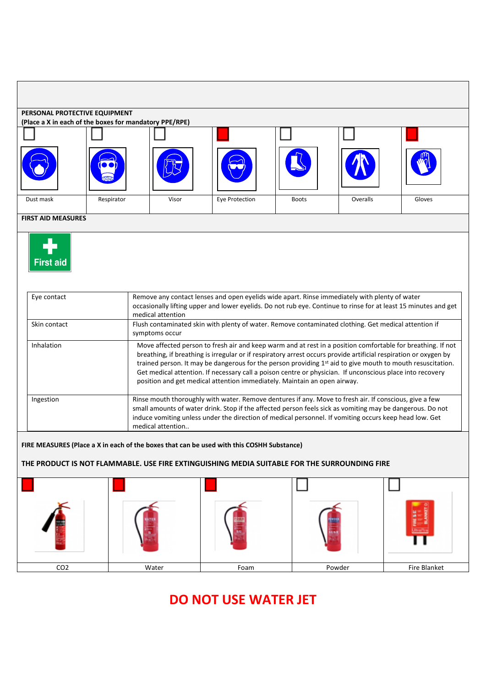| PERSONAL PROTECTIVE EQUIPMENT<br>(Place a X in each of the boxes for mandatory PPE/RPE)                                                                                                                                                             |                                                                                                                                                                                                                                                                                                                                                                                                                                                                                                                                        |       |                |              |          |        |  |  |  |  |  |  |
|-----------------------------------------------------------------------------------------------------------------------------------------------------------------------------------------------------------------------------------------------------|----------------------------------------------------------------------------------------------------------------------------------------------------------------------------------------------------------------------------------------------------------------------------------------------------------------------------------------------------------------------------------------------------------------------------------------------------------------------------------------------------------------------------------------|-------|----------------|--------------|----------|--------|--|--|--|--|--|--|
|                                                                                                                                                                                                                                                     |                                                                                                                                                                                                                                                                                                                                                                                                                                                                                                                                        |       |                |              |          |        |  |  |  |  |  |  |
|                                                                                                                                                                                                                                                     |                                                                                                                                                                                                                                                                                                                                                                                                                                                                                                                                        |       |                |              |          |        |  |  |  |  |  |  |
| Dust mask                                                                                                                                                                                                                                           | Respirator                                                                                                                                                                                                                                                                                                                                                                                                                                                                                                                             | Visor | Eye Protection | <b>Boots</b> | Overalls | Gloves |  |  |  |  |  |  |
| <b>FIRST AID MEASURES</b>                                                                                                                                                                                                                           |                                                                                                                                                                                                                                                                                                                                                                                                                                                                                                                                        |       |                |              |          |        |  |  |  |  |  |  |
| <b>First aid</b><br>Remove any contact lenses and open eyelids wide apart. Rinse immediately with plenty of water<br>Eye contact<br>occasionally lifting upper and lower eyelids. Do not rub eye. Continue to rinse for at least 15 minutes and get |                                                                                                                                                                                                                                                                                                                                                                                                                                                                                                                                        |       |                |              |          |        |  |  |  |  |  |  |
| Skin contact                                                                                                                                                                                                                                        | medical attention<br>Flush contaminated skin with plenty of water. Remove contaminated clothing. Get medical attention if<br>symptoms occur                                                                                                                                                                                                                                                                                                                                                                                            |       |                |              |          |        |  |  |  |  |  |  |
| Inhalation                                                                                                                                                                                                                                          | Move affected person to fresh air and keep warm and at rest in a position comfortable for breathing. If not<br>breathing, if breathing is irregular or if respiratory arrest occurs provide artificial respiration or oxygen by<br>trained person. It may be dangerous for the person providing 1st aid to give mouth to mouth resuscitation.<br>Get medical attention. If necessary call a poison centre or physician. If unconscious place into recovery<br>position and get medical attention immediately. Maintain an open airway. |       |                |              |          |        |  |  |  |  |  |  |
| Ingestion                                                                                                                                                                                                                                           | Rinse mouth thoroughly with water. Remove dentures if any. Move to fresh air. If conscious, give a few<br>small amounts of water drink. Stop if the affected person feels sick as vomiting may be dangerous. Do not<br>induce vomiting unless under the direction of medical personnel. If vomiting occurs keep head low. Get<br>medical attention                                                                                                                                                                                     |       |                |              |          |        |  |  |  |  |  |  |
| FIRE MEASURES (Place a X in each of the boxes that can be used with this COSHH Substance)<br>THE PRODUCT IS NOT FLAMMABLE. USE FIRE EXTINGUISHING MEDIA SUITABLE FOR THE SURROUNDING FIRE                                                           |                                                                                                                                                                                                                                                                                                                                                                                                                                                                                                                                        |       |                |              |          |        |  |  |  |  |  |  |
|                                                                                                                                                                                                                                                     |                                                                                                                                                                                                                                                                                                                                                                                                                                                                                                                                        |       |                |              |          |        |  |  |  |  |  |  |
|                                                                                                                                                                                                                                                     |                                                                                                                                                                                                                                                                                                                                                                                                                                                                                                                                        |       |                |              |          |        |  |  |  |  |  |  |

CO2 Water Foam Powder Fire Blanket

## **DO NOT USE WATER JET**